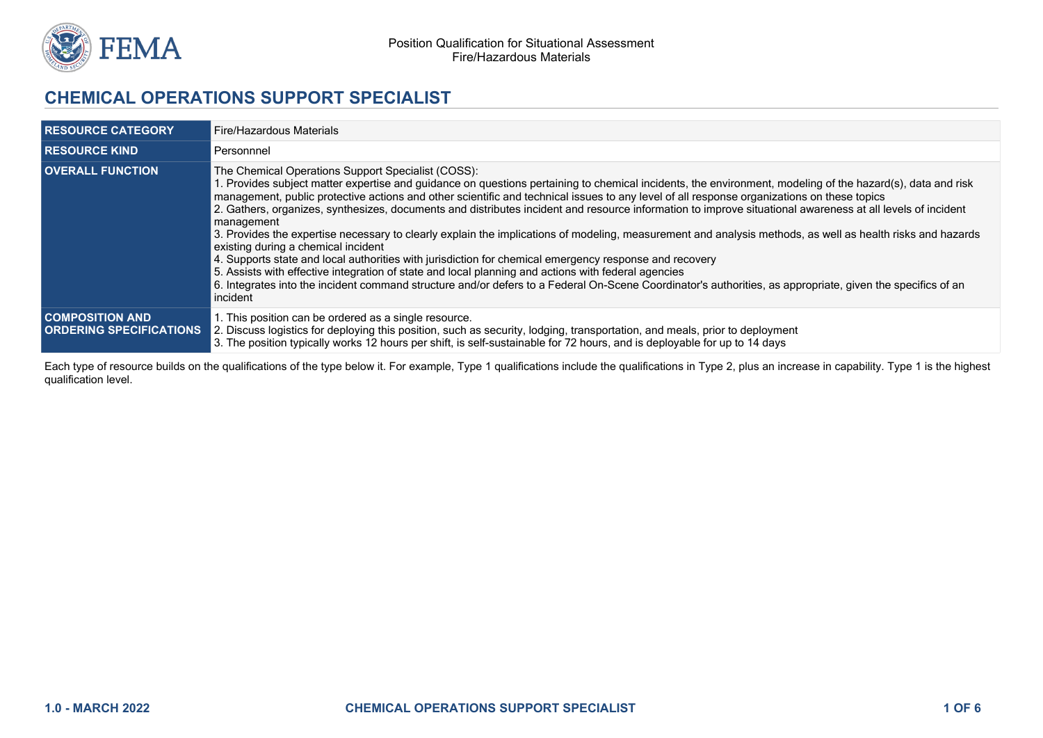

# **CHEMICAL OPERATIONS SUPPORT SPECIALIST**

| <b>RESOURCE CATEGORY</b>                                  | Fire/Hazardous Materials                                                                                                                                                                                                                                                                                                                                                                                                                                                                                                                                                                                                                                                                                                                                                                                                                                                                                                                                                                                                                                                                                                                   |
|-----------------------------------------------------------|--------------------------------------------------------------------------------------------------------------------------------------------------------------------------------------------------------------------------------------------------------------------------------------------------------------------------------------------------------------------------------------------------------------------------------------------------------------------------------------------------------------------------------------------------------------------------------------------------------------------------------------------------------------------------------------------------------------------------------------------------------------------------------------------------------------------------------------------------------------------------------------------------------------------------------------------------------------------------------------------------------------------------------------------------------------------------------------------------------------------------------------------|
| <b>RESOURCE KIND</b>                                      | Personnnel                                                                                                                                                                                                                                                                                                                                                                                                                                                                                                                                                                                                                                                                                                                                                                                                                                                                                                                                                                                                                                                                                                                                 |
| <b>OVERALL FUNCTION</b>                                   | The Chemical Operations Support Specialist (COSS):<br>1. Provides subject matter expertise and guidance on questions pertaining to chemical incidents, the environment, modeling of the hazard(s), data and risk<br>management, public protective actions and other scientific and technical issues to any level of all response organizations on these topics<br>2. Gathers, organizes, synthesizes, documents and distributes incident and resource information to improve situational awareness at all levels of incident<br>management<br>3. Provides the expertise necessary to clearly explain the implications of modeling, measurement and analysis methods, as well as health risks and hazards<br>existing during a chemical incident<br>4. Supports state and local authorities with jurisdiction for chemical emergency response and recovery<br>5. Assists with effective integration of state and local planning and actions with federal agencies<br>6. Integrates into the incident command structure and/or defers to a Federal On-Scene Coordinator's authorities, as appropriate, given the specifics of an<br>incident |
| <b>COMPOSITION AND.</b><br><b>ORDERING SPECIFICATIONS</b> | 1. This position can be ordered as a single resource.<br>2. Discuss logistics for deploying this position, such as security, lodging, transportation, and meals, prior to deployment<br>3. The position typically works 12 hours per shift, is self-sustainable for 72 hours, and is deployable for up to 14 days                                                                                                                                                                                                                                                                                                                                                                                                                                                                                                                                                                                                                                                                                                                                                                                                                          |

Each type of resource builds on the qualifications of the type below it. For example, Type 1 qualifications include the qualifications in Type 2, plus an increase in capability. Type 1 is the highest qualification level.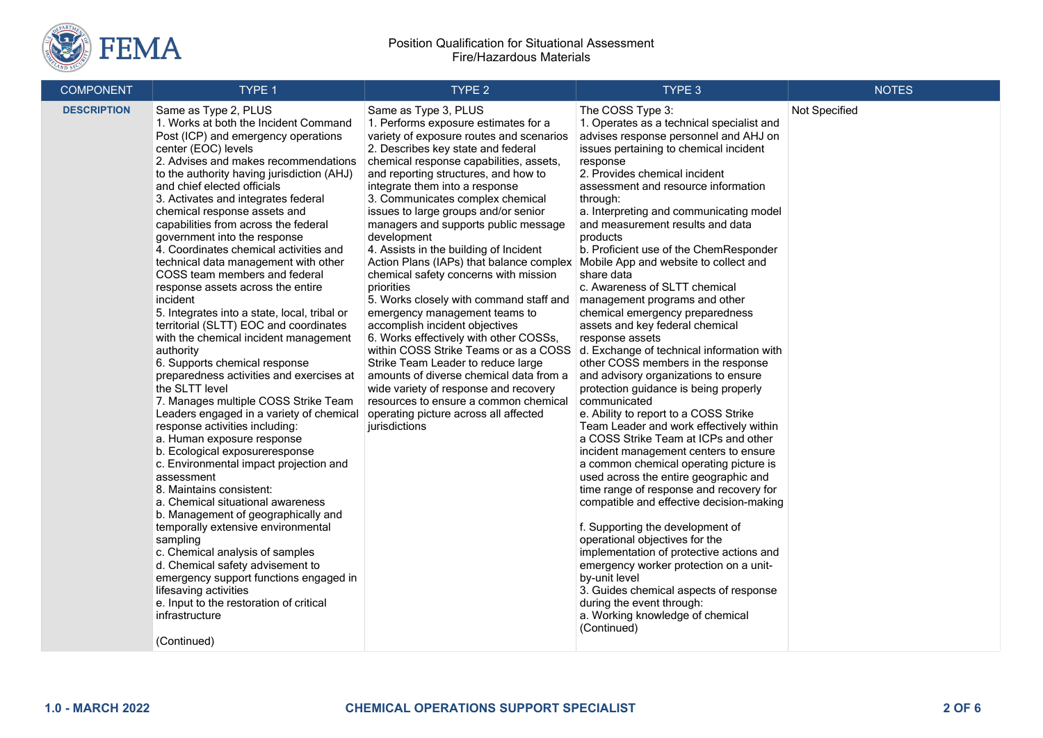

| <b>COMPONENT</b>   | TYPE 1                                                                                                                                                                                                                                                                                                                                                                                                                                                                                                                                                                                                                                                                                                                                                                                                                                                                                                                                                                                                                                                                                                                                                                                                                                                                                                                                                                                                                                           | TYPE <sub>2</sub>                                                                                                                                                                                                                                                                                                                                                                                                                                                                                                                                                                                                                                                                                                                                                                                                                                                                                                                                                                 | TYPE 3                                                                                                                                                                                                                                                                                                                                                                                                                                                                                                                                                                                                                                                                                                                                                                                                                                                                                                                                                                                                                                                                                                                                                                                                                                                                                                                                                                                                                                            | <b>NOTES</b>  |
|--------------------|--------------------------------------------------------------------------------------------------------------------------------------------------------------------------------------------------------------------------------------------------------------------------------------------------------------------------------------------------------------------------------------------------------------------------------------------------------------------------------------------------------------------------------------------------------------------------------------------------------------------------------------------------------------------------------------------------------------------------------------------------------------------------------------------------------------------------------------------------------------------------------------------------------------------------------------------------------------------------------------------------------------------------------------------------------------------------------------------------------------------------------------------------------------------------------------------------------------------------------------------------------------------------------------------------------------------------------------------------------------------------------------------------------------------------------------------------|-----------------------------------------------------------------------------------------------------------------------------------------------------------------------------------------------------------------------------------------------------------------------------------------------------------------------------------------------------------------------------------------------------------------------------------------------------------------------------------------------------------------------------------------------------------------------------------------------------------------------------------------------------------------------------------------------------------------------------------------------------------------------------------------------------------------------------------------------------------------------------------------------------------------------------------------------------------------------------------|---------------------------------------------------------------------------------------------------------------------------------------------------------------------------------------------------------------------------------------------------------------------------------------------------------------------------------------------------------------------------------------------------------------------------------------------------------------------------------------------------------------------------------------------------------------------------------------------------------------------------------------------------------------------------------------------------------------------------------------------------------------------------------------------------------------------------------------------------------------------------------------------------------------------------------------------------------------------------------------------------------------------------------------------------------------------------------------------------------------------------------------------------------------------------------------------------------------------------------------------------------------------------------------------------------------------------------------------------------------------------------------------------------------------------------------------------|---------------|
| <b>DESCRIPTION</b> | Same as Type 2, PLUS<br>1. Works at both the Incident Command<br>Post (ICP) and emergency operations<br>center (EOC) levels<br>2. Advises and makes recommendations<br>to the authority having jurisdiction (AHJ)<br>and chief elected officials<br>3. Activates and integrates federal<br>chemical response assets and<br>capabilities from across the federal<br>government into the response<br>4. Coordinates chemical activities and<br>technical data management with other<br>COSS team members and federal<br>response assets across the entire<br>incident<br>5. Integrates into a state, local, tribal or<br>territorial (SLTT) EOC and coordinates<br>with the chemical incident management<br>authority<br>6. Supports chemical response<br>preparedness activities and exercises at<br>the SLTT level<br>7. Manages multiple COSS Strike Team<br>Leaders engaged in a variety of chemical<br>response activities including:<br>a. Human exposure response<br>b. Ecological exposureresponse<br>c. Environmental impact projection and<br>assessment<br>8. Maintains consistent:<br>a. Chemical situational awareness<br>b. Management of geographically and<br>temporally extensive environmental<br>sampling<br>c. Chemical analysis of samples<br>d. Chemical safety advisement to<br>emergency support functions engaged in<br>lifesaving activities<br>e. Input to the restoration of critical<br>infrastructure<br>(Continued) | Same as Type 3, PLUS<br>1. Performs exposure estimates for a<br>variety of exposure routes and scenarios<br>2. Describes key state and federal<br>chemical response capabilities, assets,<br>and reporting structures, and how to<br>integrate them into a response<br>3. Communicates complex chemical<br>issues to large groups and/or senior<br>managers and supports public message<br>development<br>4. Assists in the building of Incident<br>Action Plans (IAPs) that balance complex<br>chemical safety concerns with mission<br>priorities<br>5. Works closely with command staff and<br>emergency management teams to<br>accomplish incident objectives<br>6. Works effectively with other COSSs,<br>within COSS Strike Teams or as a COSS<br>Strike Team Leader to reduce large<br>amounts of diverse chemical data from a<br>wide variety of response and recovery<br>resources to ensure a common chemical<br>operating picture across all affected<br>jurisdictions | The COSS Type 3:<br>1. Operates as a technical specialist and<br>advises response personnel and AHJ on<br>issues pertaining to chemical incident<br>response<br>2. Provides chemical incident<br>assessment and resource information<br>through:<br>a. Interpreting and communicating model<br>and measurement results and data<br>products<br>b. Proficient use of the ChemResponder<br>Mobile App and website to collect and<br>share data<br>c. Awareness of SLTT chemical<br>management programs and other<br>chemical emergency preparedness<br>assets and key federal chemical<br>response assets<br>d. Exchange of technical information with<br>other COSS members in the response<br>and advisory organizations to ensure<br>protection guidance is being properly<br>communicated<br>e. Ability to report to a COSS Strike<br>Team Leader and work effectively within<br>a COSS Strike Team at ICPs and other<br>incident management centers to ensure<br>a common chemical operating picture is<br>used across the entire geographic and<br>time range of response and recovery for<br>compatible and effective decision-making<br>f. Supporting the development of<br>operational objectives for the<br>implementation of protective actions and<br>emergency worker protection on a unit-<br>by-unit level<br>3. Guides chemical aspects of response<br>during the event through:<br>a. Working knowledge of chemical<br>(Continued) | Not Specified |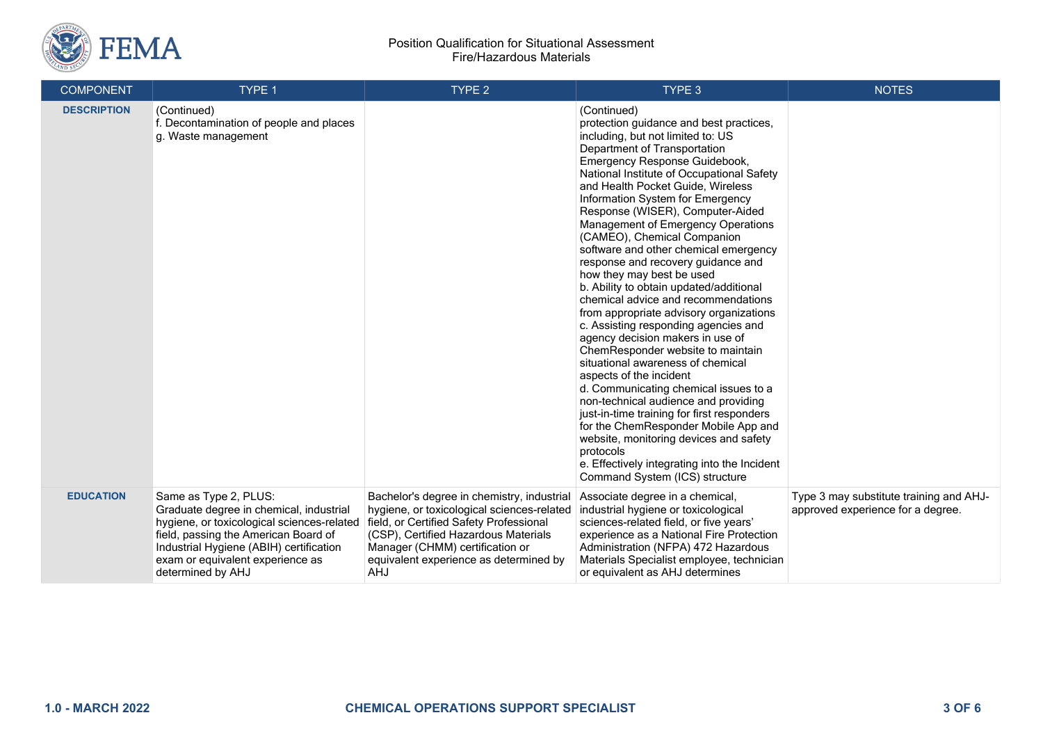

### Position Qualification for Situational Assessment Fire/Hazardous Materials

| <b>COMPONENT</b>   | TYPE 1                                                                                                                                                                                                                                                     | TYPE 2                                                                                                                                                                                                                                                          | TYPE 3                                                                                                                                                                                                                                                                                                                                                                                                                                                                                                                                                                                                                                                                                                                                                                                                                                                                                                                                                                                                                                                                                                                                | <b>NOTES</b>                                                                 |
|--------------------|------------------------------------------------------------------------------------------------------------------------------------------------------------------------------------------------------------------------------------------------------------|-----------------------------------------------------------------------------------------------------------------------------------------------------------------------------------------------------------------------------------------------------------------|---------------------------------------------------------------------------------------------------------------------------------------------------------------------------------------------------------------------------------------------------------------------------------------------------------------------------------------------------------------------------------------------------------------------------------------------------------------------------------------------------------------------------------------------------------------------------------------------------------------------------------------------------------------------------------------------------------------------------------------------------------------------------------------------------------------------------------------------------------------------------------------------------------------------------------------------------------------------------------------------------------------------------------------------------------------------------------------------------------------------------------------|------------------------------------------------------------------------------|
| <b>DESCRIPTION</b> | (Continued)<br>f. Decontamination of people and places<br>g. Waste management                                                                                                                                                                              |                                                                                                                                                                                                                                                                 | (Continued)<br>protection guidance and best practices,<br>including, but not limited to: US<br>Department of Transportation<br>Emergency Response Guidebook,<br>National Institute of Occupational Safety<br>and Health Pocket Guide, Wireless<br>Information System for Emergency<br>Response (WISER), Computer-Aided<br>Management of Emergency Operations<br>(CAMEO), Chemical Companion<br>software and other chemical emergency<br>response and recovery guidance and<br>how they may best be used<br>b. Ability to obtain updated/additional<br>chemical advice and recommendations<br>from appropriate advisory organizations<br>c. Assisting responding agencies and<br>agency decision makers in use of<br>ChemResponder website to maintain<br>situational awareness of chemical<br>aspects of the incident<br>d. Communicating chemical issues to a<br>non-technical audience and providing<br>just-in-time training for first responders<br>for the ChemResponder Mobile App and<br>website, monitoring devices and safety<br>protocols<br>e. Effectively integrating into the Incident<br>Command System (ICS) structure |                                                                              |
| <b>EDUCATION</b>   | Same as Type 2, PLUS:<br>Graduate degree in chemical, industrial<br>hygiene, or toxicological sciences-related<br>field, passing the American Board of<br>Industrial Hygiene (ABIH) certification<br>exam or equivalent experience as<br>determined by AHJ | Bachelor's degree in chemistry, industrial<br>hygiene, or toxicological sciences-related<br>field, or Certified Safety Professional<br>(CSP), Certified Hazardous Materials<br>Manager (CHMM) certification or<br>equivalent experience as determined by<br>AHJ | Associate degree in a chemical,<br>industrial hygiene or toxicological<br>sciences-related field, or five years'<br>experience as a National Fire Protection<br>Administration (NFPA) 472 Hazardous<br>Materials Specialist employee, technician<br>or equivalent as AHJ determines                                                                                                                                                                                                                                                                                                                                                                                                                                                                                                                                                                                                                                                                                                                                                                                                                                                   | Type 3 may substitute training and AHJ-<br>approved experience for a degree. |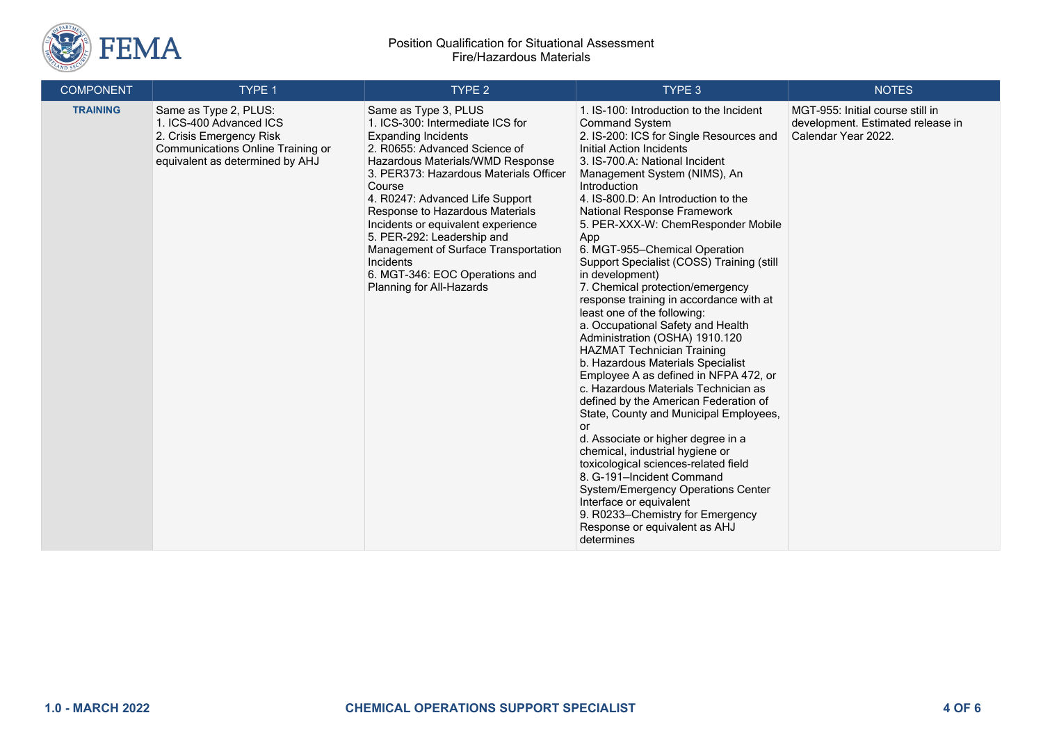

#### Position Qualification for Situational Assessment Fire/Hazardous Materials

| <b>COMPONENT</b> | TYPE 1                                                                                                                                               | TYPE <sub>2</sub>                                                                                                                                                                                                                                                                                                                                                                                                                                                            | TYPE 3                                                                                                                                                                                                                                                                                                                                                                                                                                                                                                                                                                                                                                                                                                                                                                                                                                                                                                                                                                                                                                                                                                                                                                                   | <b>NOTES</b>                                                                                 |
|------------------|------------------------------------------------------------------------------------------------------------------------------------------------------|------------------------------------------------------------------------------------------------------------------------------------------------------------------------------------------------------------------------------------------------------------------------------------------------------------------------------------------------------------------------------------------------------------------------------------------------------------------------------|------------------------------------------------------------------------------------------------------------------------------------------------------------------------------------------------------------------------------------------------------------------------------------------------------------------------------------------------------------------------------------------------------------------------------------------------------------------------------------------------------------------------------------------------------------------------------------------------------------------------------------------------------------------------------------------------------------------------------------------------------------------------------------------------------------------------------------------------------------------------------------------------------------------------------------------------------------------------------------------------------------------------------------------------------------------------------------------------------------------------------------------------------------------------------------------|----------------------------------------------------------------------------------------------|
| <b>TRAINING</b>  | Same as Type 2, PLUS:<br>1. ICS-400 Advanced ICS<br>2. Crisis Emergency Risk<br>Communications Online Training or<br>equivalent as determined by AHJ | Same as Type 3, PLUS<br>1. ICS-300: Intermediate ICS for<br><b>Expanding Incidents</b><br>2. R0655: Advanced Science of<br>Hazardous Materials/WMD Response<br>3. PER373: Hazardous Materials Officer<br>Course<br>4. R0247: Advanced Life Support<br>Response to Hazardous Materials<br>Incidents or equivalent experience<br>5. PER-292: Leadership and<br>Management of Surface Transportation<br>Incidents<br>6. MGT-346: EOC Operations and<br>Planning for All-Hazards | 1. IS-100: Introduction to the Incident<br><b>Command System</b><br>2. IS-200: ICS for Single Resources and<br>Initial Action Incidents<br>3. IS-700.A: National Incident<br>Management System (NIMS), An<br>Introduction<br>4. IS-800.D: An Introduction to the<br>National Response Framework<br>5. PER-XXX-W: ChemResponder Mobile<br>App<br>6. MGT-955-Chemical Operation<br>Support Specialist (COSS) Training (still<br>in development)<br>7. Chemical protection/emergency<br>response training in accordance with at<br>least one of the following:<br>a. Occupational Safety and Health<br>Administration (OSHA) 1910.120<br><b>HAZMAT Technician Training</b><br>b. Hazardous Materials Specialist<br>Employee A as defined in NFPA 472, or<br>c. Hazardous Materials Technician as<br>defined by the American Federation of<br>State, County and Municipal Employees,<br>or<br>d. Associate or higher degree in a<br>chemical, industrial hygiene or<br>toxicological sciences-related field<br>8. G-191-Incident Command<br>System/Emergency Operations Center<br>Interface or equivalent<br>9. R0233-Chemistry for Emergency<br>Response or equivalent as AHJ<br>determines | MGT-955: Initial course still in<br>development. Estimated release in<br>Calendar Year 2022. |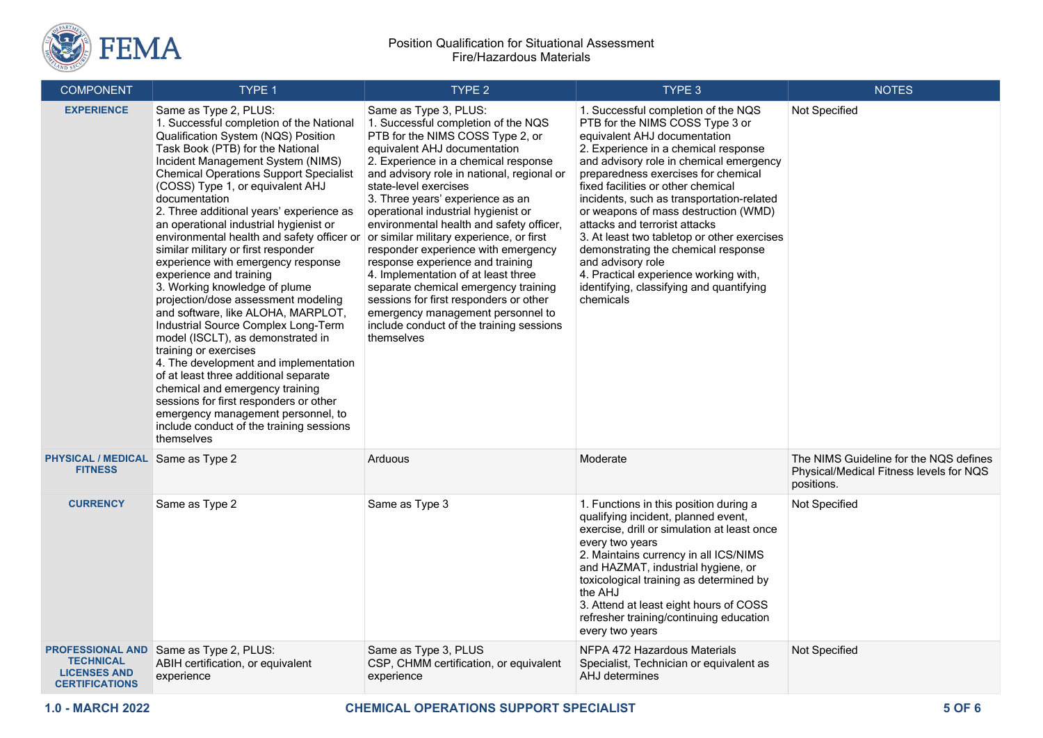

| <b>COMPONENT</b>                                                                            | TYPE 1                                                                                                                                                                                                                                                                                                                                                                                                                                                                                                                                                                                                                                                                                                                                                                                                                                                                                                                                                                                                                | TYPE 2                                                                                                                                                                                                                                                                                                                                                                                                                                                                                                                                                                                                                                                                                                                | TYPE 3                                                                                                                                                                                                                                                                                                                                                                                                                                                                                                                                                                                                    | <b>NOTES</b>                                                                                    |
|---------------------------------------------------------------------------------------------|-----------------------------------------------------------------------------------------------------------------------------------------------------------------------------------------------------------------------------------------------------------------------------------------------------------------------------------------------------------------------------------------------------------------------------------------------------------------------------------------------------------------------------------------------------------------------------------------------------------------------------------------------------------------------------------------------------------------------------------------------------------------------------------------------------------------------------------------------------------------------------------------------------------------------------------------------------------------------------------------------------------------------|-----------------------------------------------------------------------------------------------------------------------------------------------------------------------------------------------------------------------------------------------------------------------------------------------------------------------------------------------------------------------------------------------------------------------------------------------------------------------------------------------------------------------------------------------------------------------------------------------------------------------------------------------------------------------------------------------------------------------|-----------------------------------------------------------------------------------------------------------------------------------------------------------------------------------------------------------------------------------------------------------------------------------------------------------------------------------------------------------------------------------------------------------------------------------------------------------------------------------------------------------------------------------------------------------------------------------------------------------|-------------------------------------------------------------------------------------------------|
| <b>EXPERIENCE</b>                                                                           | Same as Type 2, PLUS:<br>1. Successful completion of the National<br>Qualification System (NQS) Position<br>Task Book (PTB) for the National<br>Incident Management System (NIMS)<br><b>Chemical Operations Support Specialist</b><br>(COSS) Type 1, or equivalent AHJ<br>documentation<br>2. Three additional years' experience as<br>an operational industrial hygienist or<br>environmental health and safety officer or<br>similar military or first responder<br>experience with emergency response<br>experience and training<br>3. Working knowledge of plume<br>projection/dose assessment modeling<br>and software, like ALOHA, MARPLOT,<br>Industrial Source Complex Long-Term<br>model (ISCLT), as demonstrated in<br>training or exercises<br>4. The development and implementation<br>of at least three additional separate<br>chemical and emergency training<br>sessions for first responders or other<br>emergency management personnel, to<br>include conduct of the training sessions<br>themselves | Same as Type 3, PLUS:<br>1. Successful completion of the NQS<br>PTB for the NIMS COSS Type 2, or<br>equivalent AHJ documentation<br>2. Experience in a chemical response<br>and advisory role in national, regional or<br>state-level exercises<br>3. Three years' experience as an<br>operational industrial hygienist or<br>environmental health and safety officer,<br>or similar military experience, or first<br>responder experience with emergency<br>response experience and training<br>4. Implementation of at least three<br>separate chemical emergency training<br>sessions for first responders or other<br>emergency management personnel to<br>include conduct of the training sessions<br>themselves | 1. Successful completion of the NQS<br>PTB for the NIMS COSS Type 3 or<br>equivalent AHJ documentation<br>2. Experience in a chemical response<br>and advisory role in chemical emergency<br>preparedness exercises for chemical<br>fixed facilities or other chemical<br>incidents, such as transportation-related<br>or weapons of mass destruction (WMD)<br>attacks and terrorist attacks<br>3. At least two tabletop or other exercises<br>demonstrating the chemical response<br>and advisory role<br>4. Practical experience working with,<br>identifying, classifying and quantifying<br>chemicals | Not Specified                                                                                   |
| <b>PHYSICAL / MEDICAL</b><br><b>FITNESS</b>                                                 | Same as Type 2                                                                                                                                                                                                                                                                                                                                                                                                                                                                                                                                                                                                                                                                                                                                                                                                                                                                                                                                                                                                        | Arduous                                                                                                                                                                                                                                                                                                                                                                                                                                                                                                                                                                                                                                                                                                               | Moderate                                                                                                                                                                                                                                                                                                                                                                                                                                                                                                                                                                                                  | The NIMS Guideline for the NQS defines<br>Physical/Medical Fitness levels for NQS<br>positions. |
| <b>CURRENCY</b>                                                                             | Same as Type 2                                                                                                                                                                                                                                                                                                                                                                                                                                                                                                                                                                                                                                                                                                                                                                                                                                                                                                                                                                                                        | Same as Type 3                                                                                                                                                                                                                                                                                                                                                                                                                                                                                                                                                                                                                                                                                                        | 1. Functions in this position during a<br>qualifying incident, planned event,<br>exercise, drill or simulation at least once<br>every two years<br>2. Maintains currency in all ICS/NIMS<br>and HAZMAT, industrial hygiene, or<br>toxicological training as determined by<br>the AHJ<br>3. Attend at least eight hours of COSS<br>refresher training/continuing education<br>every two years                                                                                                                                                                                                              | Not Specified                                                                                   |
| <b>PROFESSIONAL AND</b><br><b>TECHNICAL</b><br><b>LICENSES AND</b><br><b>CERTIFICATIONS</b> | Same as Type 2, PLUS:<br>ABIH certification, or equivalent<br>experience                                                                                                                                                                                                                                                                                                                                                                                                                                                                                                                                                                                                                                                                                                                                                                                                                                                                                                                                              | Same as Type 3, PLUS<br>CSP, CHMM certification, or equivalent<br>experience                                                                                                                                                                                                                                                                                                                                                                                                                                                                                                                                                                                                                                          | NFPA 472 Hazardous Materials<br>Specialist, Technician or equivalent as<br>AHJ determines                                                                                                                                                                                                                                                                                                                                                                                                                                                                                                                 | Not Specified                                                                                   |